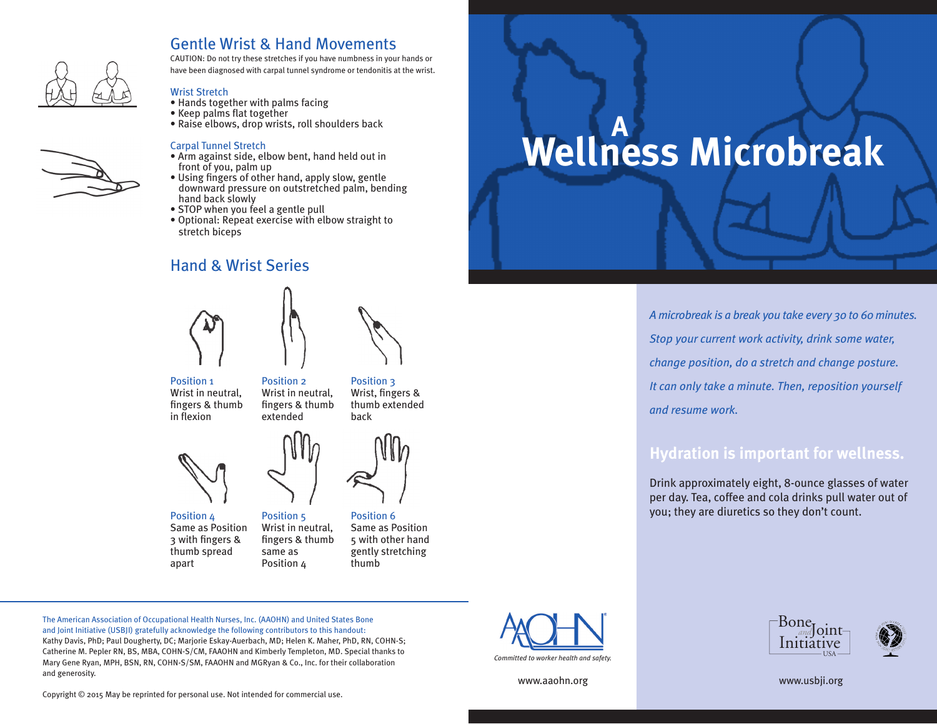

## Gentle Wrist & Hand Movements

CAUTION: Do not try these stretches if you have numbness in your hands or have been diagnosed with carpal tunnel syndrome or tendonitis at the wrist.

### Wrist Stretch

- Hands together with palms facing
- Keep palms flat together
- Raise elbows, drop wrists, roll shoulders back

#### Carpal Tunnel Stretch

- Arm against side, elbow bent, hand held out in front of you, palm up
- Using fingers of other hand, apply slow, gentle downward pressure on outstretched palm, bending hand back slowly
- STOP when you feel a gentle pull
- Optional: Repeat exercise with elbow straight to stretch biceps

## Hand & Wrist Series





Position 1 Wrist in neutral, fingers & thumb in flexion

Position 3 Wrist, fingers & thumb extended back



Position 4 Same as Position 3 with fingers & thumb spread apart



Wrist in neutral, fingers & thumb

Position 5

same as Position 4

Wrist in neutral, fingers & thumb Position 6 Same as Position 5 with other hand gently stretching thumb

**Wellness Microbreak A**

> *A microbreak is a break you take every 30 to 60 minutes. Stop your current work activity, drink some water, change position, do a stretch and change posture. It can only take a minute. Then, reposition yourself and resume work.*

# **Hydration is important for wellness.**

Drink approximately eight, 8-ounce glasses of water per day. Tea, coffee and cola drinks pull water out of you; they are diuretics so they don't count.

The American Association of Occupational Health Nurses, Inc. (AAOHN) and United States Bone and Joint Initiative (USBJI) gratefully acknowledge the following contributors to this handout: Kathy Davis, PhD; Paul Dougherty, DC; Marjorie Eskay-Auerbach, MD; Helen K. Maher, PhD, RN, COHN-S; Catherine M. Pepler RN, BS, MBA, COHN-S/CM, FAAOHN and Kimberly Templeton, MD. Special thanks to Mary Gene Ryan, MPH, BSN, RN, COHN-S/SM, FAAOHN and MGRyan & Co., Inc. for their collaboration and generosity.



Initiative Bone<sub>r</sub> loint-



www.aaohn.org www.usbji.org

Copyright © 2015 May be reprinted for personal use. Not intended for commercial use.